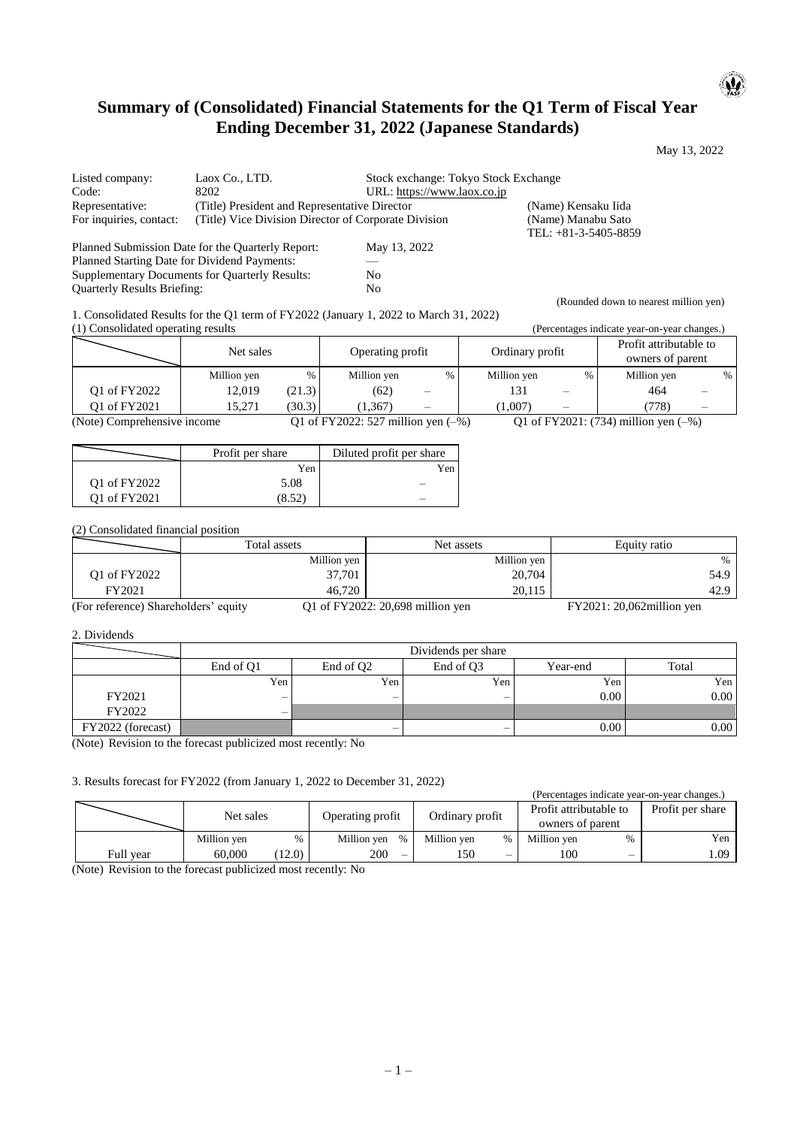# **Summary of (Consolidated) Financial Statements for the Q1 Term of Fiscal Year Ending December 31, 2022 (Japanese Standards)**

May 13, 2022

 $\mathbf{u}$ 

(Rounded down to nearest million yen)

| Listed company:                                       | Laox Co., LTD.                                       | Stock exchange: Tokyo Stock Exchange |                                              |
|-------------------------------------------------------|------------------------------------------------------|--------------------------------------|----------------------------------------------|
| Code:                                                 | 8202                                                 | URL: https://www.laox.co.jp          |                                              |
| Representative:                                       | (Title) President and Representative Director        |                                      | (Name) Kensaku Iida                          |
| For inquiries, contact:                               | (Title) Vice Division Director of Corporate Division |                                      | (Name) Manabu Sato<br>TEL: $+81-3-5405-8859$ |
|                                                       | Planned Submission Date for the Quarterly Report:    | May 13, 2022                         |                                              |
| Planned Starting Date for Dividend Payments:          |                                                      |                                      |                                              |
| <b>Supplementary Documents for Quarterly Results:</b> |                                                      | No                                   |                                              |
| <b>Ouarterly Results Briefing:</b>                    |                                                      | No                                   |                                              |

1. Consolidated Results for the Q1 term of FY2022 (January 1, 2022 to March 31, 2022) (1) Consolidated operating results (Percentages indicate year-on-year changes.)

|                             | $(1)$ components operating repairs |                                       |                  |   |                                           |             |                                            |             |  |   |
|-----------------------------|------------------------------------|---------------------------------------|------------------|---|-------------------------------------------|-------------|--------------------------------------------|-------------|--|---|
|                             | Net sales                          |                                       | Operating profit |   | Ordinary profit                           |             | Profit attributable to<br>owners of parent |             |  |   |
|                             | Million yen                        | $\%$                                  | Million yen      | % |                                           | Million yen | %                                          | Million yen |  | % |
| O1 of FY2022                | 12.019                             | (21.3)                                | (62)             |   |                                           | 131         |                                            | 464         |  |   |
| O1 of FY2021                | 15.271                             | (30.3)                                | (1.367)          |   |                                           | (1.007)     |                                            | (778)       |  |   |
| (Note) Comprehensive income |                                    | Q1 of FY2022: 527 million yen $(-\%)$ |                  |   | Q1 of FY2021: $(734)$ million yen $(-\%)$ |             |                                            |             |  |   |

|              | Profit per share | Diluted profit per share |
|--------------|------------------|--------------------------|
|              | Yen              | Yen                      |
| Q1 of FY2022 | 5.08             |                          |
| O1 of FY2021 | (8.52)           |                          |

(2) Consolidated financial position

|                            | Total assets | Net assets                         | Equity ratio  |  |
|----------------------------|--------------|------------------------------------|---------------|--|
|                            | Million yen  | Million yen                        | $\frac{0}{6}$ |  |
| Q1 of FY2022               | 37,701       | 20,704                             | 54.9          |  |
| FY2021                     | 46.720       | 20.115                             | 42.9          |  |
| $(T_{21}T_{2m+1}T_{2m+1})$ |              | $0.1 - 0.0370022$ , $0.00 - 0.011$ |               |  |

(For reference) Shareholders' equity Q1 of FY2022: 20,698 million yen FY2021: 20,062million yen

#### 2. Dividends

|                   | Dividends per share                                                              |      |                          |      |      |  |  |  |
|-------------------|----------------------------------------------------------------------------------|------|--------------------------|------|------|--|--|--|
|                   | End of O <sub>3</sub><br>Total<br>End of O1<br>End of O <sub>2</sub><br>Year-end |      |                          |      |      |  |  |  |
|                   | Yen                                                                              | Yen. | Yen                      | Yen  | Yen  |  |  |  |
| FY2021            | —                                                                                | –    | $\overline{\phantom{0}}$ | 0.00 | 0.00 |  |  |  |
| FY2022            | $\overline{\phantom{0}}$                                                         |      |                          |      |      |  |  |  |
| FY2022 (forecast) |                                                                                  | –    | $\overline{\phantom{0}}$ | 0.00 | 0.00 |  |  |  |

(Note) Revision to the forecast publicized most recently: No

3. Results forecast for FY2022 (from January 1, 2022 to December 31, 2022)

|           |             |                  |                     |                 |     |                        |                  |                  | (Percentages indicate year-on-year changes.) |
|-----------|-------------|------------------|---------------------|-----------------|-----|------------------------|------------------|------------------|----------------------------------------------|
| Net sales |             | Operating profit |                     | Ordinary profit |     | Profit attributable to |                  | Profit per share |                                              |
|           |             |                  |                     |                 |     |                        | owners of parent |                  |                                              |
|           | Million ven | $\%$             | Million ven<br>$\%$ | Million ven     |     |                        | Million ven      |                  | Yen                                          |
| Full year | 60,000      | (12.0)           | 200<br>-            |                 | 50ء |                        | 100              | –                | . 09                                         |

(Note) Revision to the forecast publicized most recently: No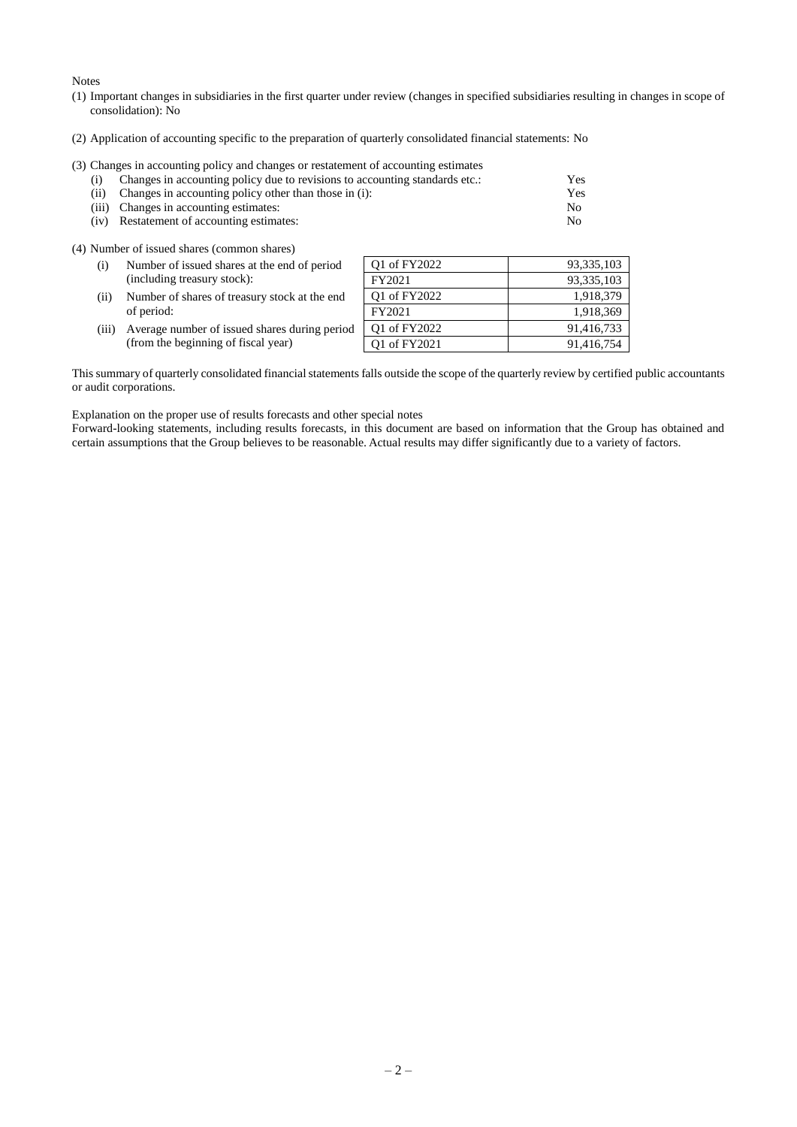Notes

- (1) Important changes in subsidiaries in the first quarter under review (changes in specified subsidiaries resulting in changes in scope of consolidation): No
- (2) Application of accounting specific to the preparation of quarterly consolidated financial statements: No

# (3) Changes in accounting policy and changes or restatement of accounting estimates

| (i) Changes in accounting policy due to revisions to accounting standards etc.: | Yes |
|---------------------------------------------------------------------------------|-----|
| (ii) Changes in accounting policy other than those in (i):                      | Yes |
| (iii) Changes in accounting estimates:                                          | No. |
| (iv) Restatement of accounting estimates:                                       | No. |

(4) Number of issued shares (common shares)

| (i)   | Number of issued shares at the end of period  | Q1 of FY2022 | 93, 335, 103 |
|-------|-----------------------------------------------|--------------|--------------|
|       | (including treasury stock):                   | FY2021       | 93,335,103   |
| (ii)  | Number of shares of treasury stock at the end | Q1 of FY2022 | 1,918,379    |
|       | of period:                                    | FY2021       | 1,918,369    |
| (iii) | Average number of issued shares during period | Q1 of FY2022 | 91,416,733   |

(iii) Average number of issued shares during period (from the beginning of fiscal year)

This summary of quarterly consolidated financial statements falls outside the scope of the quarterly review by certified public accountants or audit corporations.

Q1 of FY2021 91,416,754

Explanation on the proper use of results forecasts and other special notes

Forward-looking statements, including results forecasts, in this document are based on information that the Group has obtained and certain assumptions that the Group believes to be reasonable. Actual results may differ significantly due to a variety of factors.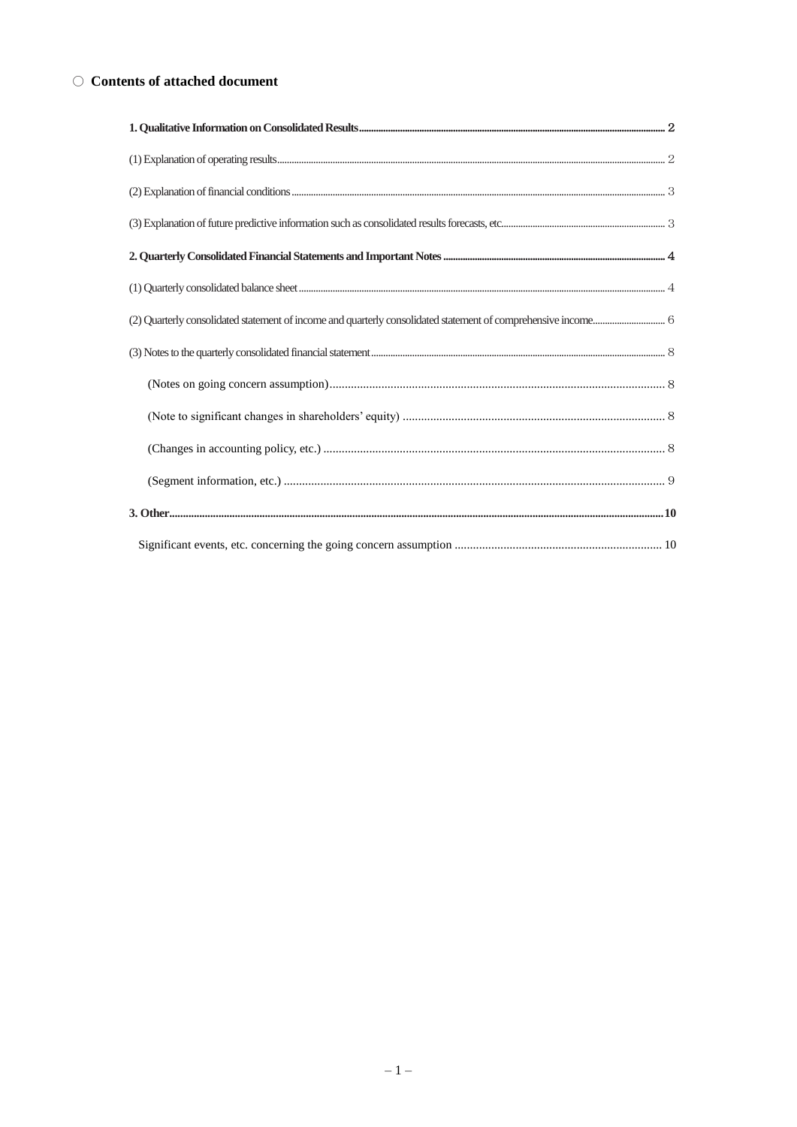# $\bigcirc$  Contents of attached document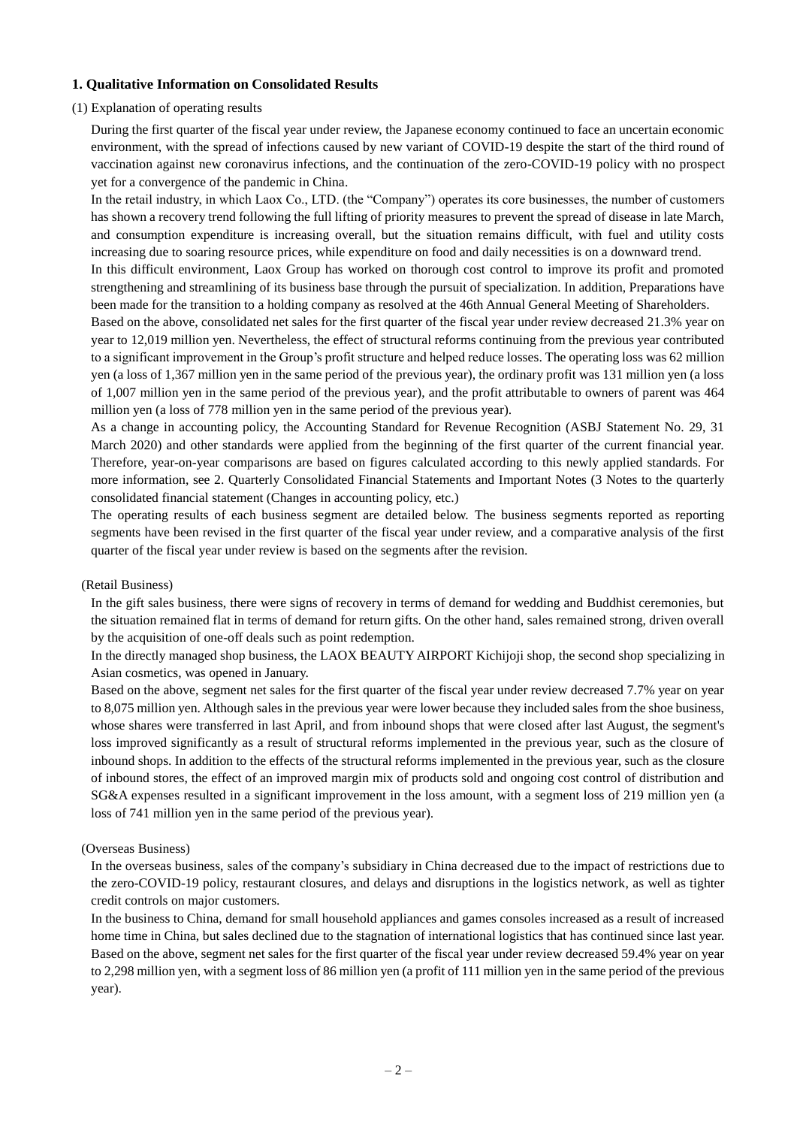# <span id="page-3-0"></span>**1. Qualitative Information on Consolidated Results**

### <span id="page-3-1"></span>(1) Explanation of operating results

During the first quarter of the fiscal year under review, the Japanese economy continued to face an uncertain economic environment, with the spread of infections caused by new variant of COVID-19 despite the start of the third round of vaccination against new coronavirus infections, and the continuation of the zero-COVID-19 policy with no prospect yet for a convergence of the pandemic in China.

In the retail industry, in which Laox Co., LTD. (the "Company") operates its core businesses, the number of customers has shown a recovery trend following the full lifting of priority measures to prevent the spread of disease in late March, and consumption expenditure is increasing overall, but the situation remains difficult, with fuel and utility costs increasing due to soaring resource prices, while expenditure on food and daily necessities is on a downward trend.

In this difficult environment, Laox Group has worked on thorough cost control to improve its profit and promoted strengthening and streamlining of its business base through the pursuit of specialization. In addition, Preparations have been made for the transition to a holding company as resolved at the 46th Annual General Meeting of Shareholders.

Based on the above, consolidated net sales for the first quarter of the fiscal year under review decreased 21.3% year on year to 12,019 million yen. Nevertheless, the effect of structural reforms continuing from the previous year contributed to a significant improvement in the Group's profit structure and helped reduce losses. The operating loss was 62 million yen (a loss of 1,367 million yen in the same period of the previous year), the ordinary profit was 131 million yen (a loss of 1,007 million yen in the same period of the previous year), and the profit attributable to owners of parent was 464 million yen (a loss of 778 million yen in the same period of the previous year).

As a change in accounting policy, the Accounting Standard for Revenue Recognition (ASBJ Statement No. 29, 31 March 2020) and other standards were applied from the beginning of the first quarter of the current financial year. Therefore, year-on-year comparisons are based on figures calculated according to this newly applied standards. For more information, see 2. Quarterly Consolidated Financial Statements and Important Notes (3 Notes to the quarterly consolidated financial statement (Changes in accounting policy, etc.)

The operating results of each business segment are detailed below. The business segments reported as reporting segments have been revised in the first quarter of the fiscal year under review, and a comparative analysis of the first quarter of the fiscal year under review is based on the segments after the revision.

#### (Retail Business)

In the gift sales business, there were signs of recovery in terms of demand for wedding and Buddhist ceremonies, but the situation remained flat in terms of demand for return gifts. On the other hand, sales remained strong, driven overall by the acquisition of one-off deals such as point redemption.

In the directly managed shop business, the LAOX BEAUTY AIRPORT Kichijoji shop, the second shop specializing in Asian cosmetics, was opened in January.

Based on the above, segment net sales for the first quarter of the fiscal year under review decreased 7.7% year on year to 8,075 million yen. Although sales in the previous year were lower because they included sales from the shoe business, whose shares were transferred in last April, and from inbound shops that were closed after last August, the segment's loss improved significantly as a result of structural reforms implemented in the previous year, such as the closure of inbound shops. In addition to the effects of the structural reforms implemented in the previous year, such as the closure of inbound stores, the effect of an improved margin mix of products sold and ongoing cost control of distribution and SG&A expenses resulted in a significant improvement in the loss amount, with a segment loss of 219 million yen (a loss of 741 million yen in the same period of the previous year).

#### (Overseas Business)

In the overseas business, sales of the company's subsidiary in China decreased due to the impact of restrictions due to the zero-COVID-19 policy, restaurant closures, and delays and disruptions in the logistics network, as well as tighter credit controls on major customers.

In the business to China, demand for small household appliances and games consoles increased as a result of increased home time in China, but sales declined due to the stagnation of international logistics that has continued since last year. Based on the above, segment net sales for the first quarter of the fiscal year under review decreased 59.4% year on year to 2,298 million yen, with a segment loss of 86 million yen (a profit of 111 million yen in the same period of the previous year).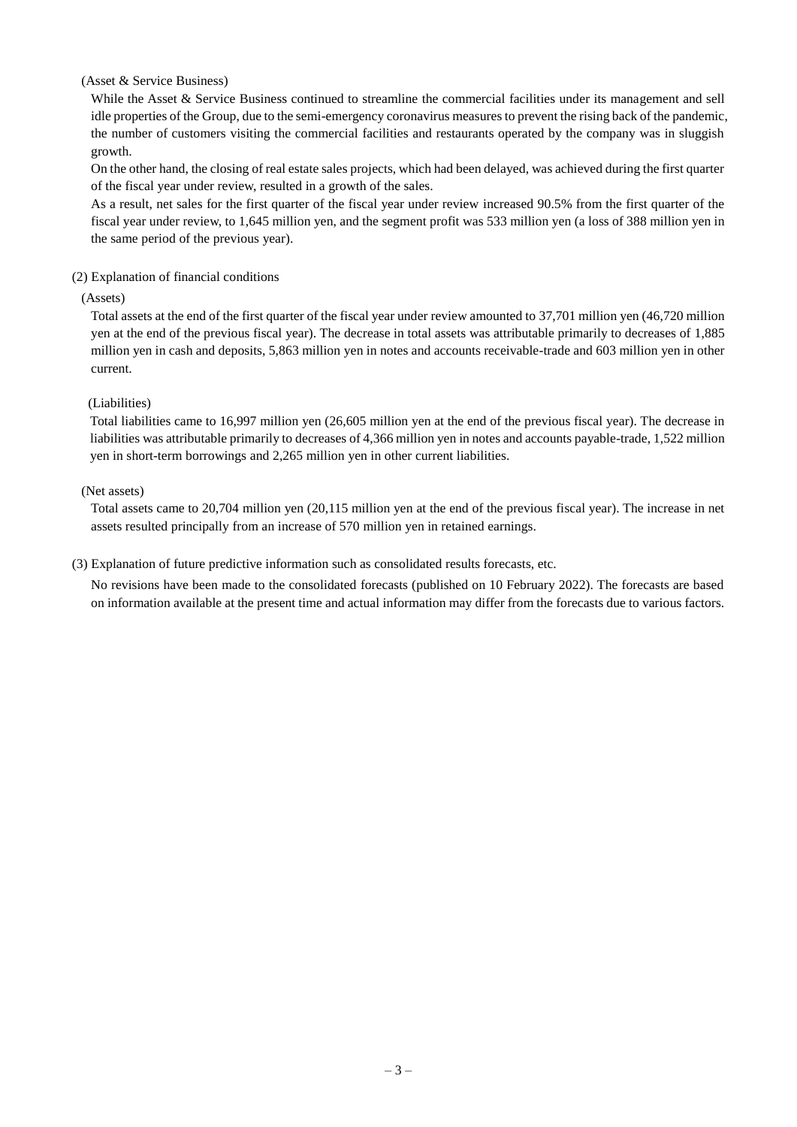### (Asset & Service Business)

While the Asset & Service Business continued to streamline the commercial facilities under its management and sell idle properties of the Group, due to the semi-emergency coronavirus measures to prevent the rising back of the pandemic, the number of customers visiting the commercial facilities and restaurants operated by the company was in sluggish growth.

On the other hand, the closing of real estate sales projects, which had been delayed, was achieved during the first quarter of the fiscal year under review, resulted in a growth of the sales.

As a result, net sales for the first quarter of the fiscal year under review increased 90.5% from the first quarter of the fiscal year under review, to 1,645 million yen, and the segment profit was 533 million yen (a loss of 388 million yen in the same period of the previous year).

# <span id="page-4-0"></span>(2) Explanation of financial conditions

#### (Assets)

Total assets at the end of the first quarter of the fiscal year under review amounted to 37,701 million yen (46,720 million yen at the end of the previous fiscal year). The decrease in total assets was attributable primarily to decreases of 1,885 million yen in cash and deposits, 5,863 million yen in notes and accounts receivable-trade and 603 million yen in other current.

# (Liabilities)

Total liabilities came to 16,997 million yen (26,605 million yen at the end of the previous fiscal year). The decrease in liabilities was attributable primarily to decreases of 4,366 million yen in notes and accounts payable-trade, 1,522 million yen in short-term borrowings and 2,265 million yen in other current liabilities.

# (Net assets)

Total assets came to 20,704 million yen (20,115 million yen at the end of the previous fiscal year). The increase in net assets resulted principally from an increase of 570 million yen in retained earnings.

### <span id="page-4-1"></span>(3) Explanation of future predictive information such as consolidated results forecasts, etc.

No revisions have been made to the consolidated forecasts (published on 10 February 2022). The forecasts are based on information available at the present time and actual information may differ from the forecasts due to various factors.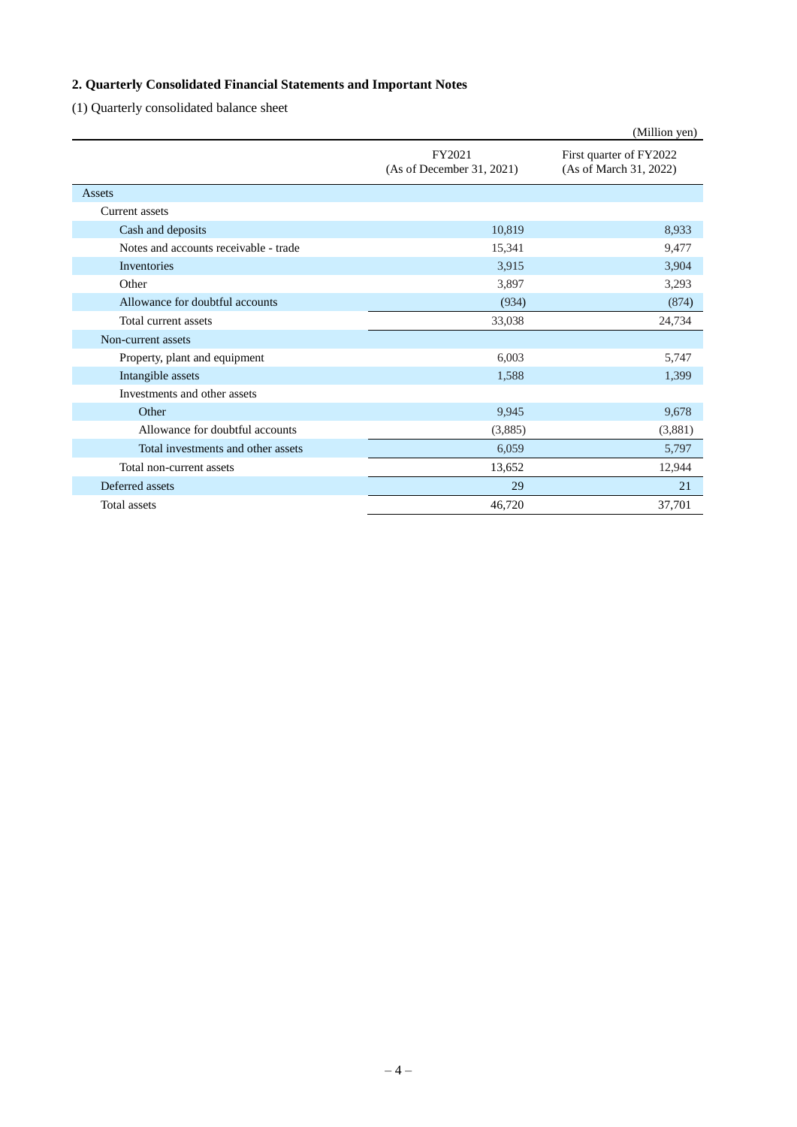# <span id="page-5-0"></span>**2. Quarterly Consolidated Financial Statements and Important Notes**

<span id="page-5-1"></span>(1) Quarterly consolidated balance sheet

|                                       |                                     | (Million yen)                                     |
|---------------------------------------|-------------------------------------|---------------------------------------------------|
|                                       | FY2021<br>(As of December 31, 2021) | First quarter of FY2022<br>(As of March 31, 2022) |
| Assets                                |                                     |                                                   |
| Current assets                        |                                     |                                                   |
| Cash and deposits                     | 10,819                              | 8,933                                             |
| Notes and accounts receivable - trade | 15,341                              | 9,477                                             |
| Inventories                           | 3,915                               | 3,904                                             |
| Other                                 | 3,897                               | 3,293                                             |
| Allowance for doubtful accounts       | (934)                               | (874)                                             |
| Total current assets                  | 33,038                              | 24,734                                            |
| Non-current assets                    |                                     |                                                   |
| Property, plant and equipment         | 6,003                               | 5,747                                             |
| Intangible assets                     | 1,588                               | 1,399                                             |
| Investments and other assets          |                                     |                                                   |
| Other                                 | 9,945                               | 9,678                                             |
| Allowance for doubtful accounts       | (3,885)                             | (3,881)                                           |
| Total investments and other assets    | 6,059                               | 5,797                                             |
| Total non-current assets              | 13,652                              | 12,944                                            |
| Deferred assets                       | 29                                  | 21                                                |
| <b>Total</b> assets                   | 46,720                              | 37,701                                            |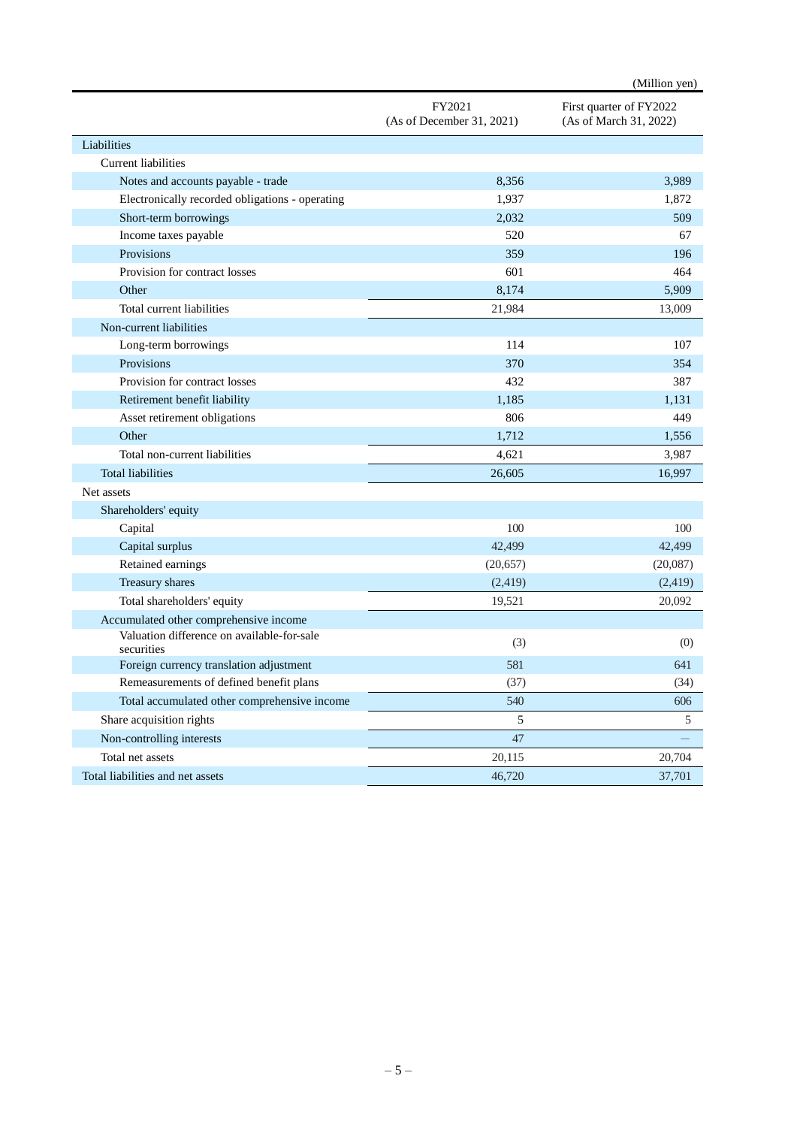|                                                          |                                     | (Million yen)                                     |
|----------------------------------------------------------|-------------------------------------|---------------------------------------------------|
|                                                          | FY2021<br>(As of December 31, 2021) | First quarter of FY2022<br>(As of March 31, 2022) |
| Liabilities                                              |                                     |                                                   |
| <b>Current liabilities</b>                               |                                     |                                                   |
| Notes and accounts payable - trade                       | 8,356                               | 3,989                                             |
| Electronically recorded obligations - operating          | 1,937                               | 1,872                                             |
| Short-term borrowings                                    | 2,032                               | 509                                               |
| Income taxes payable                                     | 520                                 | 67                                                |
| Provisions                                               | 359                                 | 196                                               |
| Provision for contract losses                            | 601                                 | 464                                               |
| Other                                                    | 8,174                               | 5,909                                             |
| Total current liabilities                                | 21,984                              | 13,009                                            |
| Non-current liabilities                                  |                                     |                                                   |
| Long-term borrowings                                     | 114                                 | 107                                               |
| Provisions                                               | 370                                 | 354                                               |
| Provision for contract losses                            | 432                                 | 387                                               |
| Retirement benefit liability                             | 1.185                               | 1,131                                             |
| Asset retirement obligations                             | 806                                 | 449                                               |
| Other                                                    | 1,712                               | 1,556                                             |
| Total non-current liabilities                            | 4,621                               | 3,987                                             |
| <b>Total liabilities</b>                                 | 26,605                              | 16,997                                            |
| Net assets                                               |                                     |                                                   |
| Shareholders' equity                                     |                                     |                                                   |
| Capital                                                  | 100                                 | 100                                               |
| Capital surplus                                          | 42,499                              | 42,499                                            |
| Retained earnings                                        | (20, 657)                           | (20,087)                                          |
| Treasury shares                                          | (2,419)                             | (2,419)                                           |
| Total shareholders' equity                               | 19,521                              | 20,092                                            |
| Accumulated other comprehensive income                   |                                     |                                                   |
| Valuation difference on available-for-sale<br>securities | (3)                                 | (0)                                               |
| Foreign currency translation adjustment                  | 581                                 | 641                                               |
| Remeasurements of defined benefit plans                  | (37)                                | (34)                                              |
| Total accumulated other comprehensive income             | 540                                 | 606                                               |
| Share acquisition rights                                 | 5                                   | 5                                                 |
| Non-controlling interests                                | 47                                  |                                                   |
| Total net assets                                         | 20,115                              | 20,704                                            |
| Total liabilities and net assets                         | 46,720                              | 37,701                                            |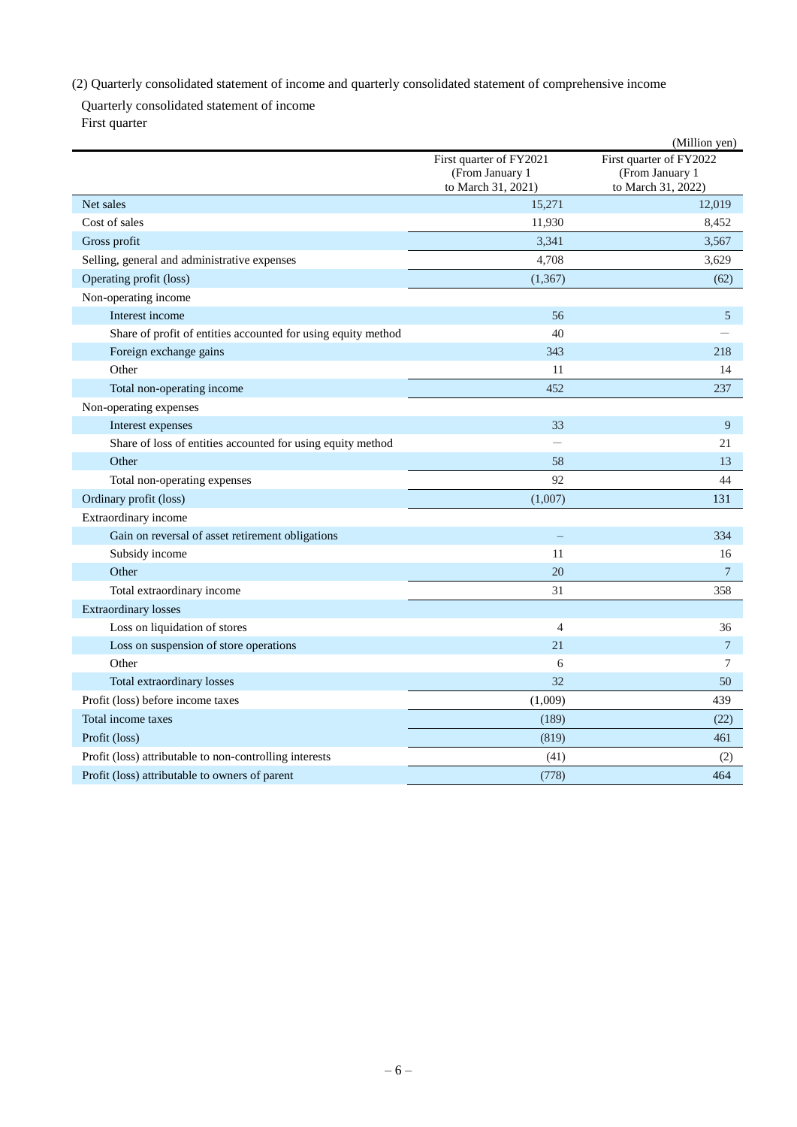# <span id="page-7-0"></span>(2) Quarterly consolidated statement of income and quarterly consolidated statement of comprehensive income

Quarterly consolidated statement of income First quarter

|                                                               |                                                                  | (Million yen)                                                    |
|---------------------------------------------------------------|------------------------------------------------------------------|------------------------------------------------------------------|
|                                                               | First quarter of FY2021<br>(From January 1<br>to March 31, 2021) | First quarter of FY2022<br>(From January 1<br>to March 31, 2022) |
| Net sales                                                     | 15,271                                                           | 12,019                                                           |
| Cost of sales                                                 | 11,930                                                           | 8,452                                                            |
| Gross profit                                                  | 3,341                                                            | 3,567                                                            |
| Selling, general and administrative expenses                  | 4,708                                                            | 3,629                                                            |
| Operating profit (loss)                                       | (1, 367)                                                         | (62)                                                             |
| Non-operating income                                          |                                                                  |                                                                  |
| Interest income                                               | 56                                                               | 5                                                                |
| Share of profit of entities accounted for using equity method | 40                                                               |                                                                  |
| Foreign exchange gains                                        | 343                                                              | 218                                                              |
| Other                                                         | 11                                                               | 14                                                               |
| Total non-operating income                                    | 452                                                              | 237                                                              |
| Non-operating expenses                                        |                                                                  |                                                                  |
| Interest expenses                                             | 33                                                               | 9                                                                |
| Share of loss of entities accounted for using equity method   | $\overline{\phantom{0}}$                                         | 21                                                               |
| Other                                                         | 58                                                               | 13                                                               |
| Total non-operating expenses                                  | 92                                                               | 44                                                               |
| Ordinary profit (loss)                                        | (1,007)                                                          | 131                                                              |
| Extraordinary income                                          |                                                                  |                                                                  |
| Gain on reversal of asset retirement obligations              |                                                                  | 334                                                              |
| Subsidy income                                                | 11                                                               | 16                                                               |
| Other                                                         | 20                                                               | $\overline{7}$                                                   |
| Total extraordinary income                                    | 31                                                               | 358                                                              |
| <b>Extraordinary losses</b>                                   |                                                                  |                                                                  |
| Loss on liquidation of stores                                 | $\overline{4}$                                                   | 36                                                               |
| Loss on suspension of store operations                        | 21                                                               | $\overline{7}$                                                   |
| Other                                                         | 6                                                                | 7                                                                |
| Total extraordinary losses                                    | 32                                                               | 50                                                               |
| Profit (loss) before income taxes                             | (1,009)                                                          | 439                                                              |
| Total income taxes                                            | (189)                                                            | (22)                                                             |
| Profit (loss)                                                 | (819)                                                            | 461                                                              |
| Profit (loss) attributable to non-controlling interests       | (41)                                                             | (2)                                                              |
| Profit (loss) attributable to owners of parent                | (778)                                                            | 464                                                              |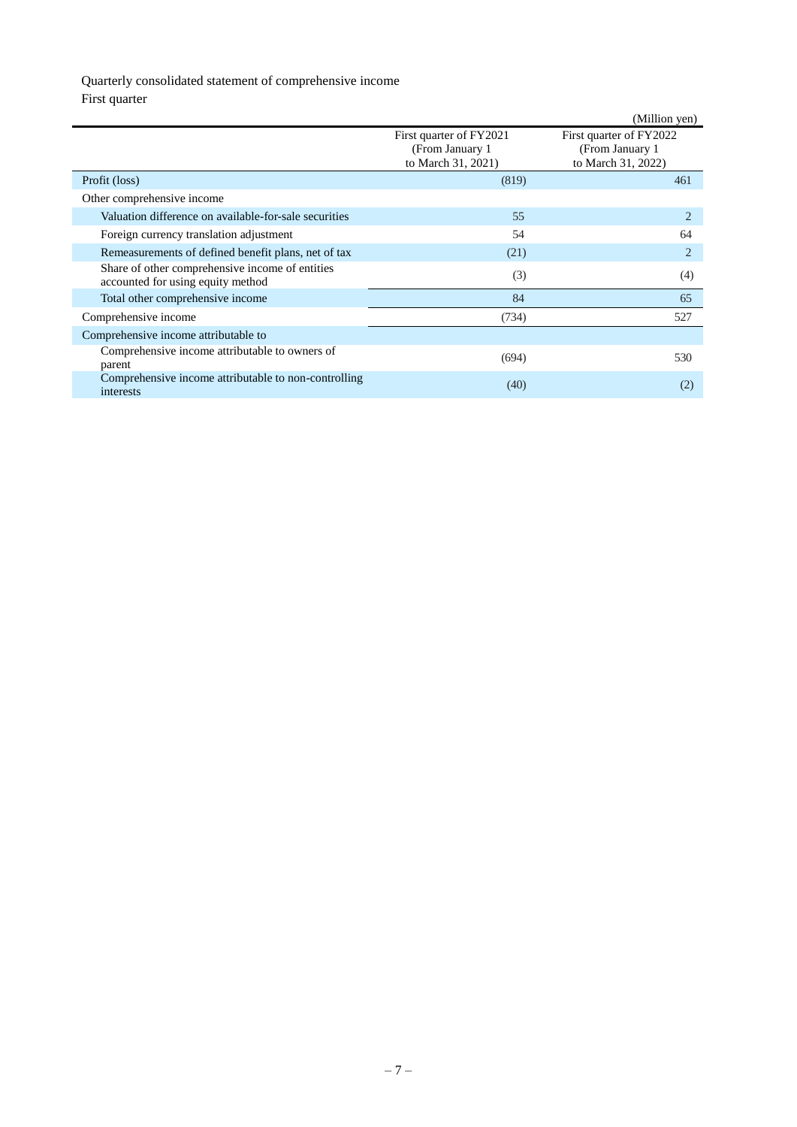# Quarterly consolidated statement of comprehensive income

First quarter

|                                                                                      |                                                                   | (Million yen)                                                     |  |
|--------------------------------------------------------------------------------------|-------------------------------------------------------------------|-------------------------------------------------------------------|--|
|                                                                                      | First quarter of FY2021<br>(From January 1)<br>to March 31, 2021) | First quarter of FY2022<br>(From January 1)<br>to March 31, 2022) |  |
| Profit (loss)                                                                        | (819)                                                             | 461                                                               |  |
| Other comprehensive income                                                           |                                                                   |                                                                   |  |
| Valuation difference on available-for-sale securities                                | 55                                                                | $\overline{2}$                                                    |  |
| Foreign currency translation adjustment                                              | 54                                                                | 64                                                                |  |
| Remeasurements of defined benefit plans, net of tax                                  | (21)                                                              | $\overline{c}$                                                    |  |
| Share of other comprehensive income of entities<br>accounted for using equity method | (3)                                                               | (4)                                                               |  |
| Total other comprehensive income                                                     | 84                                                                | 65                                                                |  |
| Comprehensive income                                                                 | (734)                                                             | 527                                                               |  |
| Comprehensive income attributable to                                                 |                                                                   |                                                                   |  |
| Comprehensive income attributable to owners of<br>parent                             | (694)                                                             | 530                                                               |  |
| Comprehensive income attributable to non-controlling<br>interests                    | (40)                                                              | (2)                                                               |  |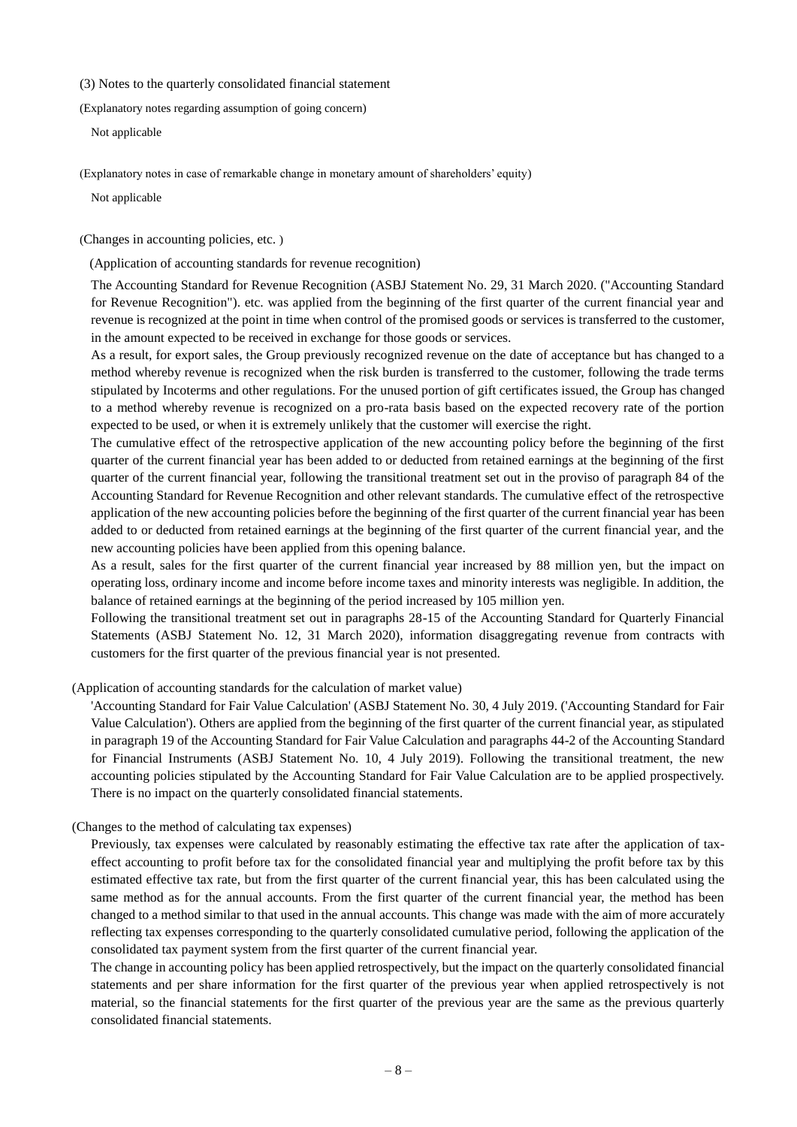# <span id="page-9-0"></span>(3) Notes to the quarterly consolidated financial statement

(Explanatory notes regarding assumption of going concern)

Not applicable

(Explanatory notes in case of remarkable change in monetary amount of shareholders' equity)

Not applicable

(Changes in accounting policies, etc. )

(Application of accounting standards for revenue recognition)

The Accounting Standard for Revenue Recognition (ASBJ Statement No. 29, 31 March 2020. ("Accounting Standard for Revenue Recognition"). etc. was applied from the beginning of the first quarter of the current financial year and revenue is recognized at the point in time when control of the promised goods or services is transferred to the customer, in the amount expected to be received in exchange for those goods or services.

As a result, for export sales, the Group previously recognized revenue on the date of acceptance but has changed to a method whereby revenue is recognized when the risk burden is transferred to the customer, following the trade terms stipulated by Incoterms and other regulations. For the unused portion of gift certificates issued, the Group has changed to a method whereby revenue is recognized on a pro-rata basis based on the expected recovery rate of the portion expected to be used, or when it is extremely unlikely that the customer will exercise the right.

The cumulative effect of the retrospective application of the new accounting policy before the beginning of the first quarter of the current financial year has been added to or deducted from retained earnings at the beginning of the first quarter of the current financial year, following the transitional treatment set out in the proviso of paragraph 84 of the Accounting Standard for Revenue Recognition and other relevant standards. The cumulative effect of the retrospective application of the new accounting policies before the beginning of the first quarter of the current financial year has been added to or deducted from retained earnings at the beginning of the first quarter of the current financial year, and the new accounting policies have been applied from this opening balance.

As a result, sales for the first quarter of the current financial year increased by 88 million yen, but the impact on operating loss, ordinary income and income before income taxes and minority interests was negligible. In addition, the balance of retained earnings at the beginning of the period increased by 105 million yen.

Following the transitional treatment set out in paragraphs 28-15 of the Accounting Standard for Quarterly Financial Statements (ASBJ Statement No. 12, 31 March 2020), information disaggregating revenue from contracts with customers for the first quarter of the previous financial year is not presented.

(Application of accounting standards for the calculation of market value)

'Accounting Standard for Fair Value Calculation' (ASBJ Statement No. 30, 4 July 2019. ('Accounting Standard for Fair Value Calculation'). Others are applied from the beginning of the first quarter of the current financial year, as stipulated in paragraph 19 of the Accounting Standard for Fair Value Calculation and paragraphs 44-2 of the Accounting Standard for Financial Instruments (ASBJ Statement No. 10, 4 July 2019). Following the transitional treatment, the new accounting policies stipulated by the Accounting Standard for Fair Value Calculation are to be applied prospectively. There is no impact on the quarterly consolidated financial statements.

#### (Changes to the method of calculating tax expenses)

Previously, tax expenses were calculated by reasonably estimating the effective tax rate after the application of taxeffect accounting to profit before tax for the consolidated financial year and multiplying the profit before tax by this estimated effective tax rate, but from the first quarter of the current financial year, this has been calculated using the same method as for the annual accounts. From the first quarter of the current financial year, the method has been changed to a method similar to that used in the annual accounts. This change was made with the aim of more accurately reflecting tax expenses corresponding to the quarterly consolidated cumulative period, following the application of the consolidated tax payment system from the first quarter of the current financial year.

The change in accounting policy has been applied retrospectively, but the impact on the quarterly consolidated financial statements and per share information for the first quarter of the previous year when applied retrospectively is not material, so the financial statements for the first quarter of the previous year are the same as the previous quarterly consolidated financial statements.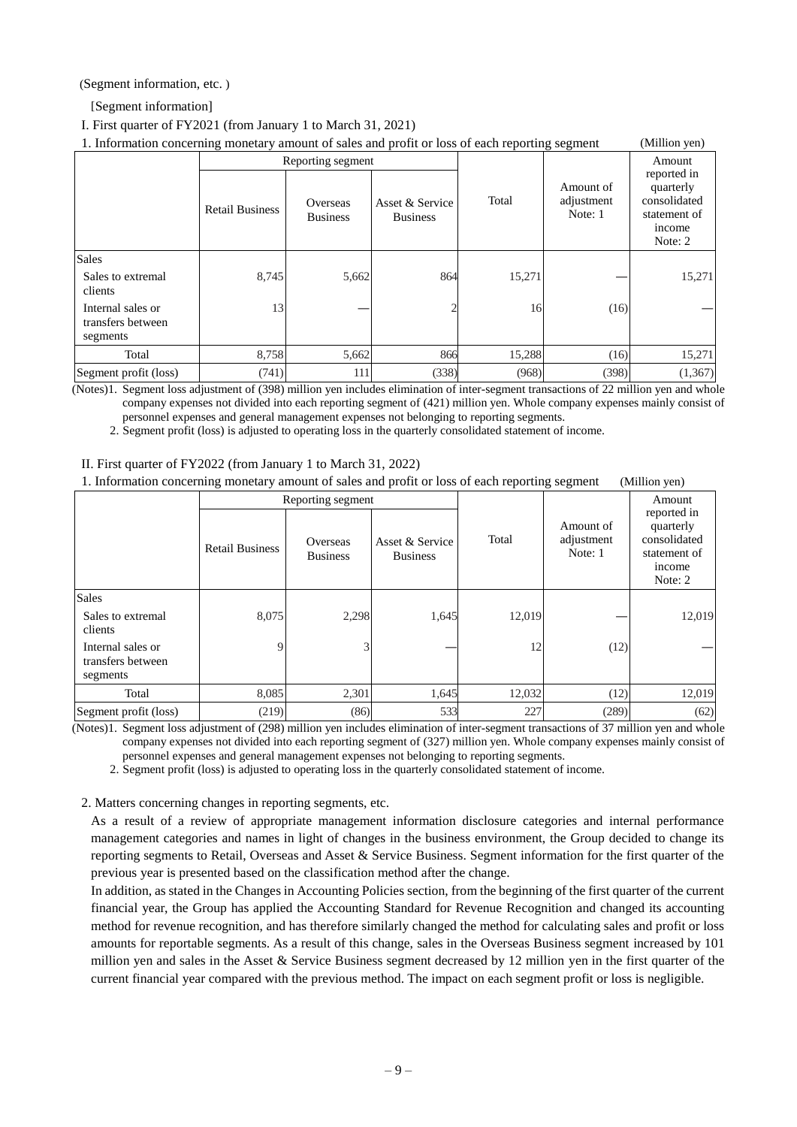(Segment information, etc. )

[Segment information]

I. First quarter of FY2021 (from January 1 to March 31, 2021)

| 1. Information concerning monetary amount of sales and profit or loss of each reporting segment<br>(Million yen) |                        |                             |                                    |        |                                    |                                                                               |  |
|------------------------------------------------------------------------------------------------------------------|------------------------|-----------------------------|------------------------------------|--------|------------------------------------|-------------------------------------------------------------------------------|--|
|                                                                                                                  | Reporting segment      |                             |                                    |        |                                    | Amount                                                                        |  |
|                                                                                                                  | <b>Retail Business</b> | Overseas<br><b>Business</b> | Asset & Service<br><b>Business</b> | Total  | Amount of<br>adjustment<br>Note: 1 | reported in<br>quarterly<br>consolidated<br>statement of<br>income<br>Note: 2 |  |
| <b>Sales</b>                                                                                                     |                        |                             |                                    |        |                                    |                                                                               |  |
| Sales to extremal<br>clients                                                                                     | 8,745                  | 5,662                       | 864                                | 15.271 |                                    | 15,271                                                                        |  |
| Internal sales or<br>transfers between<br>segments                                                               | 13                     |                             |                                    | 16     | (16)                               |                                                                               |  |
| Total                                                                                                            | 8,758                  | 5,662                       | 866                                | 15,288 | (16)                               | 15,271                                                                        |  |
| Segment profit (loss)                                                                                            | (741)                  | 111                         | (338)                              | (968)  | (398)                              | (1,367)                                                                       |  |

(Notes)1. Segment loss adjustment of (398) million yen includes elimination of inter-segment transactions of 22 million yen and whole company expenses not divided into each reporting segment of (421) million yen. Whole company expenses mainly consist of personnel expenses and general management expenses not belonging to reporting segments.

2. Segment profit (loss) is adjusted to operating loss in the quarterly consolidated statement of income.

#### II. First quarter of FY2022 (from January 1 to March 31, 2022)

1. Information concerning monetary amount of sales and profit or loss of each reporting segment (Million yen)

|                                                    | Reporting segment      |                             |                                    |        | U                                  | Amount                                                                        |
|----------------------------------------------------|------------------------|-----------------------------|------------------------------------|--------|------------------------------------|-------------------------------------------------------------------------------|
|                                                    | <b>Retail Business</b> | Overseas<br><b>Business</b> | Asset & Service<br><b>Business</b> | Total  | Amount of<br>adjustment<br>Note: 1 | reported in<br>quarterly<br>consolidated<br>statement of<br>income<br>Note: 2 |
| <b>Sales</b>                                       |                        |                             |                                    |        |                                    |                                                                               |
| Sales to extremal<br>clients                       | 8,075                  | 2,298                       | 1,645                              | 12,019 |                                    | 12,019                                                                        |
| Internal sales or<br>transfers between<br>segments | 9                      | 3                           |                                    | 12     | (12)                               |                                                                               |
| Total                                              | 8,085                  | 2,301                       | 1,645                              | 12,032 | (12)                               | 12,019                                                                        |
| Segment profit (loss)                              | (219)                  | (86)                        | 533                                | 227    | (289)                              | (62)                                                                          |

(Notes)1. Segment loss adjustment of (298) million yen includes elimination of inter-segment transactions of 37 million yen and whole company expenses not divided into each reporting segment of (327) million yen. Whole company expenses mainly consist of personnel expenses and general management expenses not belonging to reporting segments.

2. Segment profit (loss) is adjusted to operating loss in the quarterly consolidated statement of income.

2. Matters concerning changes in reporting segments, etc.

As a result of a review of appropriate management information disclosure categories and internal performance management categories and names in light of changes in the business environment, the Group decided to change its reporting segments to Retail, Overseas and Asset & Service Business. Segment information for the first quarter of the previous year is presented based on the classification method after the change.

In addition, as stated in the Changes in Accounting Policies section, from the beginning of the first quarter of the current financial year, the Group has applied the Accounting Standard for Revenue Recognition and changed its accounting method for revenue recognition, and has therefore similarly changed the method for calculating sales and profit or loss amounts for reportable segments. As a result of this change, sales in the Overseas Business segment increased by 101 million yen and sales in the Asset & Service Business segment decreased by 12 million yen in the first quarter of the current financial year compared with the previous method. The impact on each segment profit or loss is negligible.